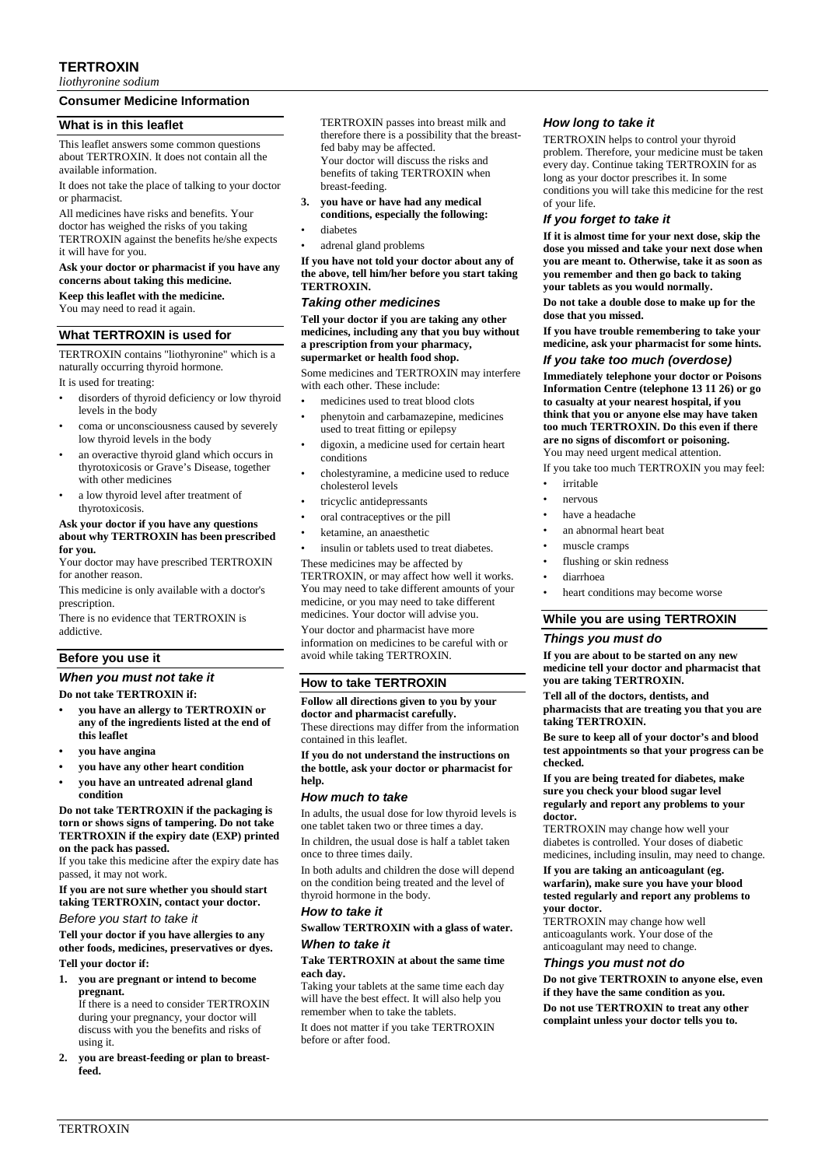## **TERTROXIN**

*liothyronine sodium*

## **Consumer Medicine Information**

## **What is in this leaflet**

This leaflet answers some common questions about TERTROXIN. It does not contain all the available information.

It does not take the place of talking to your doctor or pharmacist.

All medicines have risks and benefits. Your doctor has weighed the risks of you taking TERTROXIN against the benefits he/she expects it will have for you.

#### **Ask your doctor or pharmacist if you have any concerns about taking this medicine.**

**Keep this leaflet with the medicine.** You may need to read it again.

## **What TERTROXIN is used for**

TERTROXIN contains "liothyronine" which is a naturally occurring thyroid hormone.

It is used for treating:

- disorders of thyroid deficiency or low thyroid levels in the body
- coma or unconsciousness caused by severely low thyroid levels in the body
- an overactive thyroid gland which occurs in thyrotoxicosis or Grave's Disease, together with other medicines
- a low thyroid level after treatment of thyrotoxicosis.

#### **Ask your doctor if you have any questions about why TERTROXIN has been prescribed for you.**

Your doctor may have prescribed TERTROXIN for another reason

This medicine is only available with a doctor's prescription.

There is no evidence that TERTROXIN is addictive.

## **Before you use it**

## *When you must not take it*

#### **Do not take TERTROXIN if:**

- **• you have an allergy to TERTROXIN or any of the ingredients listed at the end of this leaflet**
- **• you have angina**
- **• you have any other heart condition**
- **• you have an untreated adrenal gland condition**

#### **Do not take TERTROXIN if the packaging is torn or shows signs of tampering. Do not take TERTROXIN if the expiry date (EXP) printed on the pack has passed.**

If you take this medicine after the expiry date has passed, it may not work.

**If you are not sure whether you should start taking TERTROXIN, contact your doctor.** *Before you start to take it*

**Tell your doctor if you have allergies to any other foods, medicines, preservatives or dyes. Tell your doctor if:**

**1. you are pregnant or intend to become pregnant.**

If there is a need to consider TERTROXIN during your pregnancy, your doctor will discuss with you the benefits and risks of using it.

**2. you are breast-feeding or plan to breastfeed.**

TERTROXIN passes into breast milk and therefore there is a possibility that the breastfed baby may be affected. Your doctor will discuss the risks and benefits of taking TERTROXIN when breast-feeding.

- **3. you have or have had any medical conditions, especially the following:**
- diabetes
- adrenal gland problems

**If you have not told your doctor about any of the above, tell him/her before you start taking TERTROXIN.**

#### *Taking other medicines*

**Tell your doctor if you are taking any other medicines, including any that you buy without a prescription from your pharmacy, supermarket or health food shop.**

Some medicines and TERTROXIN may interfere with each other. These include:

- medicines used to treat blood clots
- phenytoin and carbamazepine, medicines used to treat fitting or epilepsy
- digoxin, a medicine used for certain heart conditions
- cholestyramine, a medicine used to reduce cholesterol levels
- tricyclic antidepressants
- oral contraceptives or the pill
- ketamine, an anaesthetic
- insulin or tablets used to treat diabetes.

These medicines may be affected by TERTROXIN, or may affect how well it works. You may need to take different amounts of your medicine, or you may need to take different medicines. Your doctor will advise you.

Your doctor and pharmacist have more information on medicines to be careful with or avoid while taking TERTROXIN.

#### **How to take TERTROXIN**

**Follow all directions given to you by your doctor and pharmacist carefully.** These directions may differ from the information contained in this leaflet.

**If you do not understand the instructions on the bottle, ask your doctor or pharmacist for help.**

#### *How much to take*

In adults, the usual dose for low thyroid levels is one tablet taken two or three times a day.

In children, the usual dose is half a tablet taken once to three times daily.

In both adults and children the dose will depend on the condition being treated and the level of thyroid hormone in the body.

#### *How to take it*

### **Swallow TERTROXIN with a glass of water.** *When to take it*

# **Take TERTROXIN at about the same time**

**each day.** Taking your tablets at the same time each day

will have the best effect. It will also help you remember when to take the tablets.

It does not matter if you take TERTROXIN before or after food.

#### *How long to take it*

TERTROXIN helps to control your thyroid problem. Therefore, your medicine must be taken every day. Continue taking TERTROXIN for as long as your doctor prescribes it. In some conditions you will take this medicine for the rest of your life.

#### *If you forget to take it*

**If it is almost time for your next dose, skip the dose you missed and take your next dose when you are meant to. Otherwise, take it as soon as you remember and then go back to taking your tablets as you would normally.**

**Do not take a double dose to make up for the dose that you missed.**

**If you have trouble remembering to take your medicine, ask your pharmacist for some hints.**

## *If you take too much (overdose)*

**Immediately telephone your doctor or Poisons Information Centre (telephone 13 11 26) or go to casualty at your nearest hospital, if you think that you or anyone else may have taken too much TERTROXIN. Do this even if there are no signs of discomfort or poisoning.** You may need urgent medical attention.

If you take too much TERTROXIN you may feel:

- irritable
- nervous
- have a headache
- an abnormal heart beat
- muscle cramps
- flushing or skin redness
- diarrhoea
- heart conditions may become worse

#### **While you are using TERTROXIN**

#### *Things you must do*

**If you are about to be started on any new medicine tell your doctor and pharmacist that you are taking TERTROXIN.**

**Tell all of the doctors, dentists, and pharmacists that are treating you that you are taking TERTROXIN.**

**Be sure to keep all of your doctor's and blood test appointments so that your progress can be checked.**

#### **If you are being treated for diabetes, make sure you check your blood sugar level regularly and report any problems to your doctor.**

TERTROXIN may change how well your diabetes is controlled. Your doses of diabetic medicines, including insulin, may need to change.

#### **If you are taking an anticoagulant (eg. warfarin), make sure you have your blood tested regularly and report any problems to your doctor.**

TERTROXIN may change how well anticoagulants work. Your dose of the anticoagulant may need to change.

### *Things you must not do*

**Do not give TERTROXIN to anyone else, even if they have the same condition as you. Do not use TERTROXIN to treat any other complaint unless your doctor tells you to.**